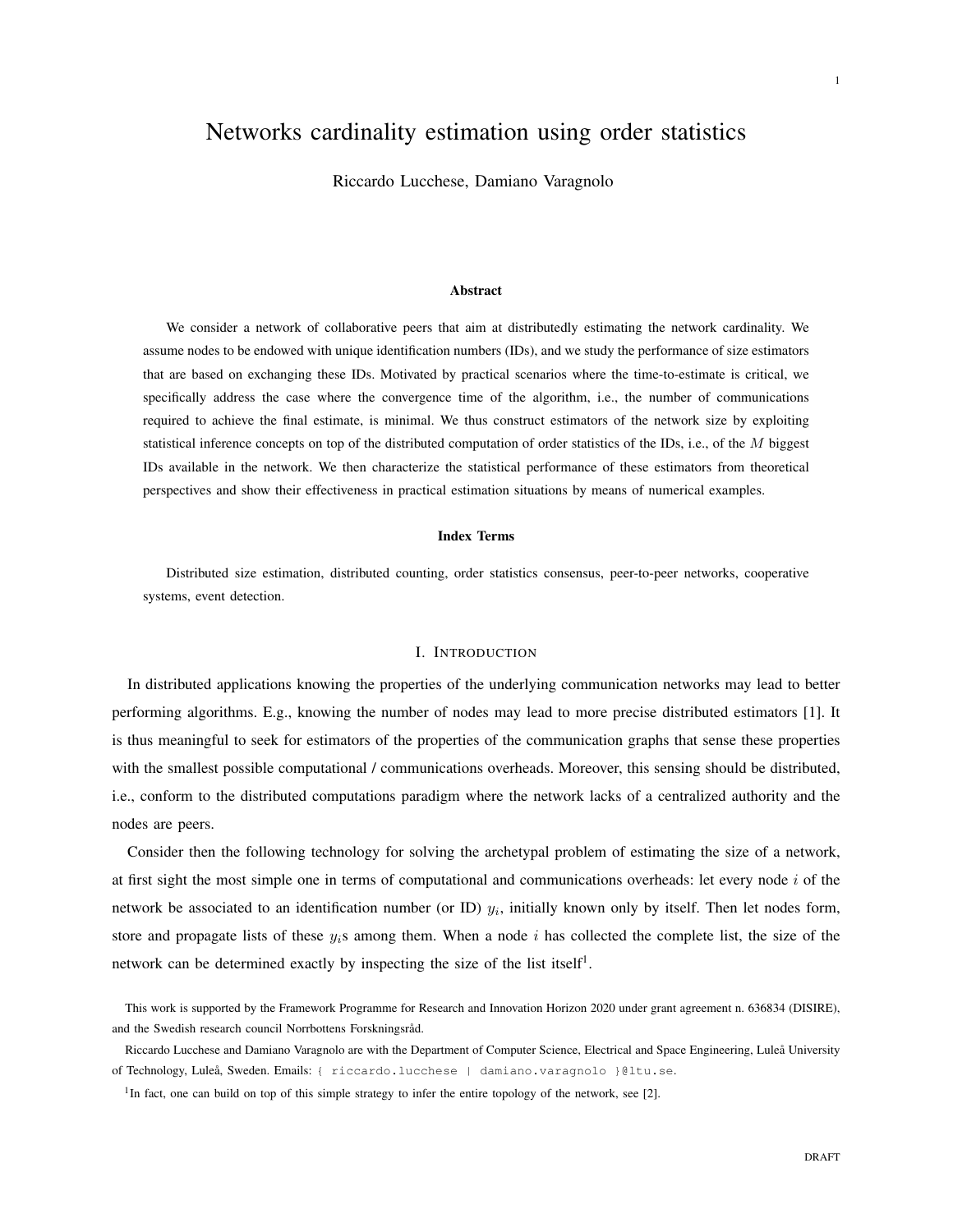# Networks cardinality estimation using order statistics

Riccardo Lucchese, Damiano Varagnolo

#### Abstract

We consider a network of collaborative peers that aim at distributedly estimating the network cardinality. We assume nodes to be endowed with unique identification numbers (IDs), and we study the performance of size estimators that are based on exchanging these IDs. Motivated by practical scenarios where the time-to-estimate is critical, we specifically address the case where the convergence time of the algorithm, i.e., the number of communications required to achieve the final estimate, is minimal. We thus construct estimators of the network size by exploiting statistical inference concepts on top of the distributed computation of order statistics of the IDs, i.e., of the  $M$  biggest IDs available in the network. We then characterize the statistical performance of these estimators from theoretical perspectives and show their effectiveness in practical estimation situations by means of numerical examples.

#### Index Terms

Distributed size estimation, distributed counting, order statistics consensus, peer-to-peer networks, cooperative systems, event detection.

## I. INTRODUCTION

In distributed applications knowing the properties of the underlying communication networks may lead to better performing algorithms. E.g., knowing the number of nodes may lead to more precise distributed estimators [1]. It is thus meaningful to seek for estimators of the properties of the communication graphs that sense these properties with the smallest possible computational / communications overheads. Moreover, this sensing should be distributed, i.e., conform to the distributed computations paradigm where the network lacks of a centralized authority and the nodes are peers.

Consider then the following technology for solving the archetypal problem of estimating the size of a network, at first sight the most simple one in terms of computational and communications overheads: let every node  $i$  of the network be associated to an identification number (or ID)  $y_i$ , initially known only by itself. Then let nodes form, store and propagate lists of these  $y_i$ s among them. When a node i has collected the complete list, the size of the network can be determined exactly by inspecting the size of the list itself<sup>1</sup>.

This work is supported by the Framework Programme for Research and Innovation Horizon 2020 under grant agreement n. 636834 (DISIRE), and the Swedish research council Norrbottens Forskningsråd.

Riccardo Lucchese and Damiano Varagnolo are with the Department of Computer Science, Electrical and Space Engineering, Luleå University of Technology, Luleå, Sweden. Emails: { riccardo.lucchese | damiano.varagnolo }@ltu.se.

<sup>1</sup>In fact, one can build on top of this simple strategy to infer the entire topology of the network, see [2].

1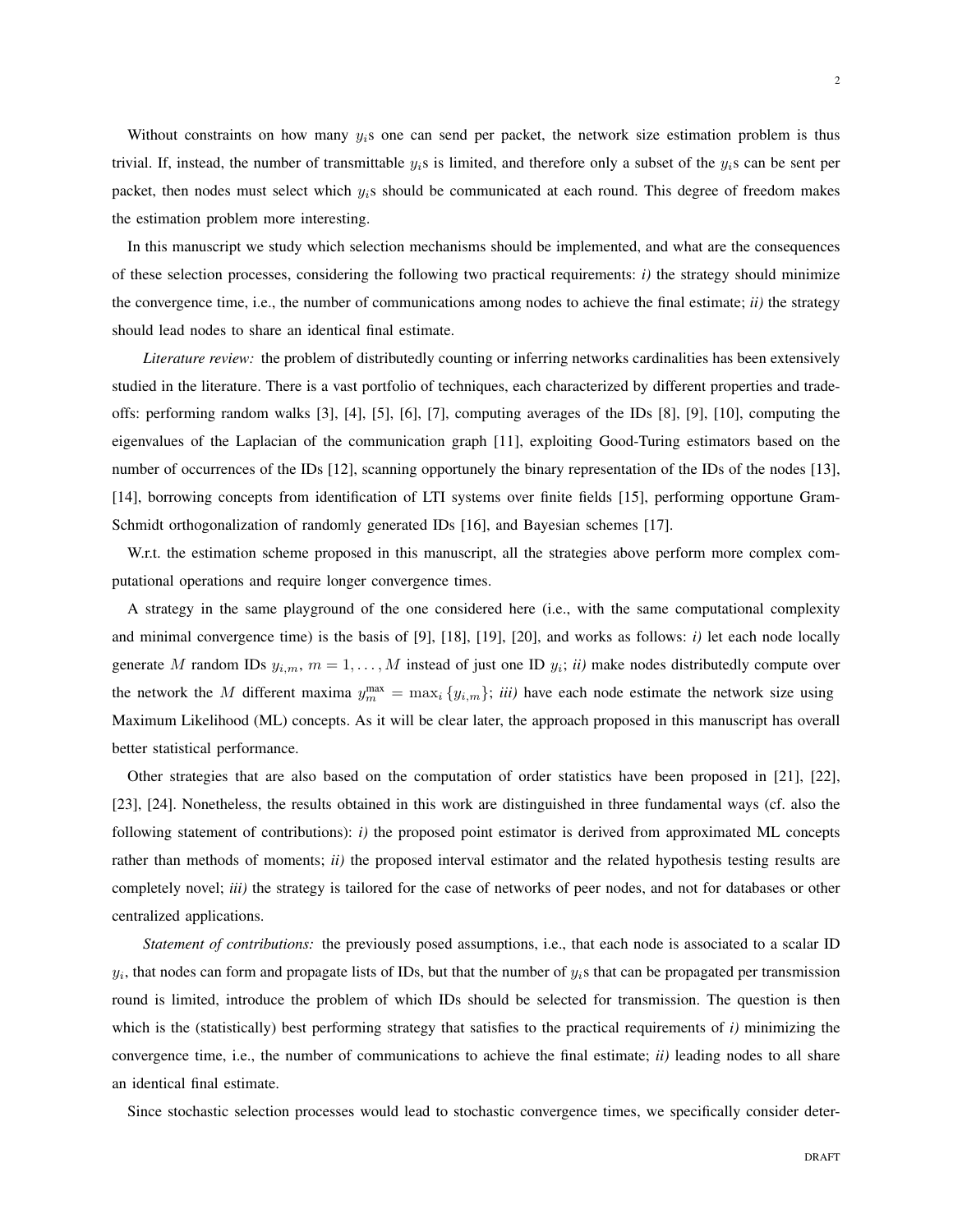2

Without constraints on how many  $y_i$ s one can send per packet, the network size estimation problem is thus trivial. If, instead, the number of transmittable  $y_i$ s is limited, and therefore only a subset of the  $y_i$ s can be sent per packet, then nodes must select which  $y_i$ s should be communicated at each round. This degree of freedom makes the estimation problem more interesting.

In this manuscript we study which selection mechanisms should be implemented, and what are the consequences of these selection processes, considering the following two practical requirements: *i)* the strategy should minimize the convergence time, i.e., the number of communications among nodes to achieve the final estimate; *ii)* the strategy should lead nodes to share an identical final estimate.

*Literature review:* the problem of distributedly counting or inferring networks cardinalities has been extensively studied in the literature. There is a vast portfolio of techniques, each characterized by different properties and tradeoffs: performing random walks [3], [4], [5], [6], [7], computing averages of the IDs [8], [9], [10], computing the eigenvalues of the Laplacian of the communication graph [11], exploiting Good-Turing estimators based on the number of occurrences of the IDs [12], scanning opportunely the binary representation of the IDs of the nodes [13], [14], borrowing concepts from identification of LTI systems over finite fields [15], performing opportune Gram-Schmidt orthogonalization of randomly generated IDs [16], and Bayesian schemes [17].

W.r.t. the estimation scheme proposed in this manuscript, all the strategies above perform more complex computational operations and require longer convergence times.

A strategy in the same playground of the one considered here (i.e., with the same computational complexity and minimal convergence time) is the basis of [9], [18], [19], [20], and works as follows: *i)* let each node locally generate M random IDs  $y_{i,m}$ ,  $m = 1, ..., M$  instead of just one ID  $y_i$ ; *ii*) make nodes distributedly compute over the network the M different maxima  $y_m^{\text{max}} = \max_i \{y_{i,m}\};$  *iii*) have each node estimate the network size using Maximum Likelihood (ML) concepts. As it will be clear later, the approach proposed in this manuscript has overall better statistical performance.

Other strategies that are also based on the computation of order statistics have been proposed in [21], [22], [23], [24]. Nonetheless, the results obtained in this work are distinguished in three fundamental ways (cf. also the following statement of contributions): *i)* the proposed point estimator is derived from approximated ML concepts rather than methods of moments; *ii)* the proposed interval estimator and the related hypothesis testing results are completely novel; *iii*) the strategy is tailored for the case of networks of peer nodes, and not for databases or other centralized applications.

*Statement of contributions:* the previously posed assumptions, i.e., that each node is associated to a scalar ID  $y_i$ , that nodes can form and propagate lists of IDs, but that the number of  $y_i$ s that can be propagated per transmission round is limited, introduce the problem of which IDs should be selected for transmission. The question is then which is the (statistically) best performing strategy that satisfies to the practical requirements of *i)* minimizing the convergence time, i.e., the number of communications to achieve the final estimate; *ii)* leading nodes to all share an identical final estimate.

Since stochastic selection processes would lead to stochastic convergence times, we specifically consider deter-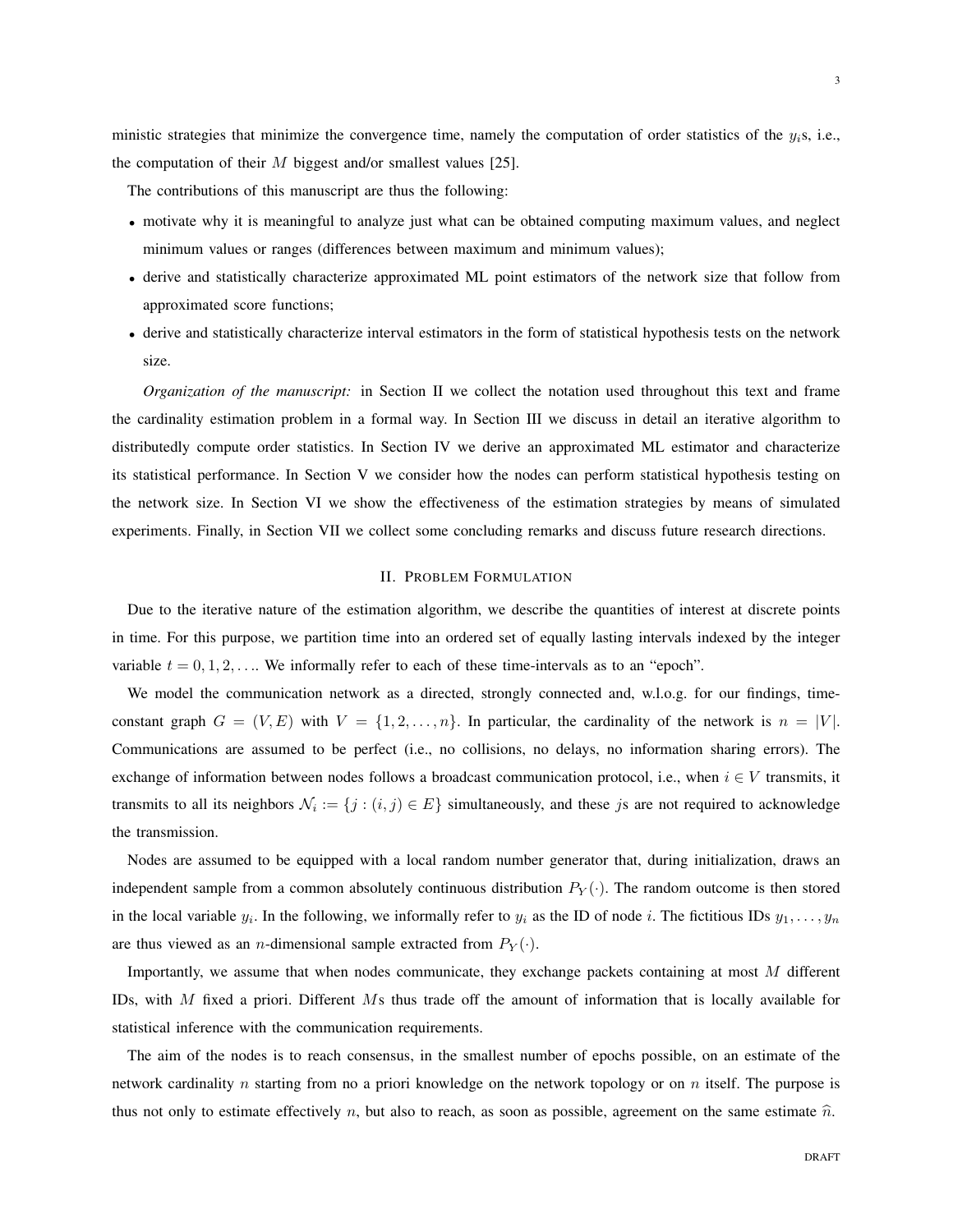The contributions of this manuscript are thus the following:

- motivate why it is meaningful to analyze just what can be obtained computing maximum values, and neglect minimum values or ranges (differences between maximum and minimum values);
- derive and statistically characterize approximated ML point estimators of the network size that follow from approximated score functions;
- derive and statistically characterize interval estimators in the form of statistical hypothesis tests on the network size.

*Organization of the manuscript:* in Section II we collect the notation used throughout this text and frame the cardinality estimation problem in a formal way. In Section III we discuss in detail an iterative algorithm to distributedly compute order statistics. In Section IV we derive an approximated ML estimator and characterize its statistical performance. In Section V we consider how the nodes can perform statistical hypothesis testing on the network size. In Section VI we show the effectiveness of the estimation strategies by means of simulated experiments. Finally, in Section VII we collect some concluding remarks and discuss future research directions.

## II. PROBLEM FORMULATION

Due to the iterative nature of the estimation algorithm, we describe the quantities of interest at discrete points in time. For this purpose, we partition time into an ordered set of equally lasting intervals indexed by the integer variable  $t = 0, 1, 2, \ldots$  We informally refer to each of these time-intervals as to an "epoch".

We model the communication network as a directed, strongly connected and, w.l.o.g. for our findings, timeconstant graph  $G = (V, E)$  with  $V = \{1, 2, ..., n\}$ . In particular, the cardinality of the network is  $n = |V|$ . Communications are assumed to be perfect (i.e., no collisions, no delays, no information sharing errors). The exchange of information between nodes follows a broadcast communication protocol, i.e., when  $i \in V$  transmits, it transmits to all its neighbors  $\mathcal{N}_i := \{j : (i, j) \in E\}$  simultaneously, and these js are not required to acknowledge the transmission.

Nodes are assumed to be equipped with a local random number generator that, during initialization, draws an independent sample from a common absolutely continuous distribution  $P_Y(\cdot)$ . The random outcome is then stored in the local variable  $y_i$ . In the following, we informally refer to  $y_i$  as the ID of node i. The fictitious IDs  $y_1, \ldots, y_n$ are thus viewed as an *n*-dimensional sample extracted from  $P_Y(\cdot)$ .

Importantly, we assume that when nodes communicate, they exchange packets containing at most M different IDs, with M fixed a priori. Different  $Ms$  thus trade off the amount of information that is locally available for statistical inference with the communication requirements.

The aim of the nodes is to reach consensus, in the smallest number of epochs possible, on an estimate of the network cardinality n starting from no a priori knowledge on the network topology or on n itself. The purpose is thus not only to estimate effectively n, but also to reach, as soon as possible, agreement on the same estimate  $\hat{n}$ .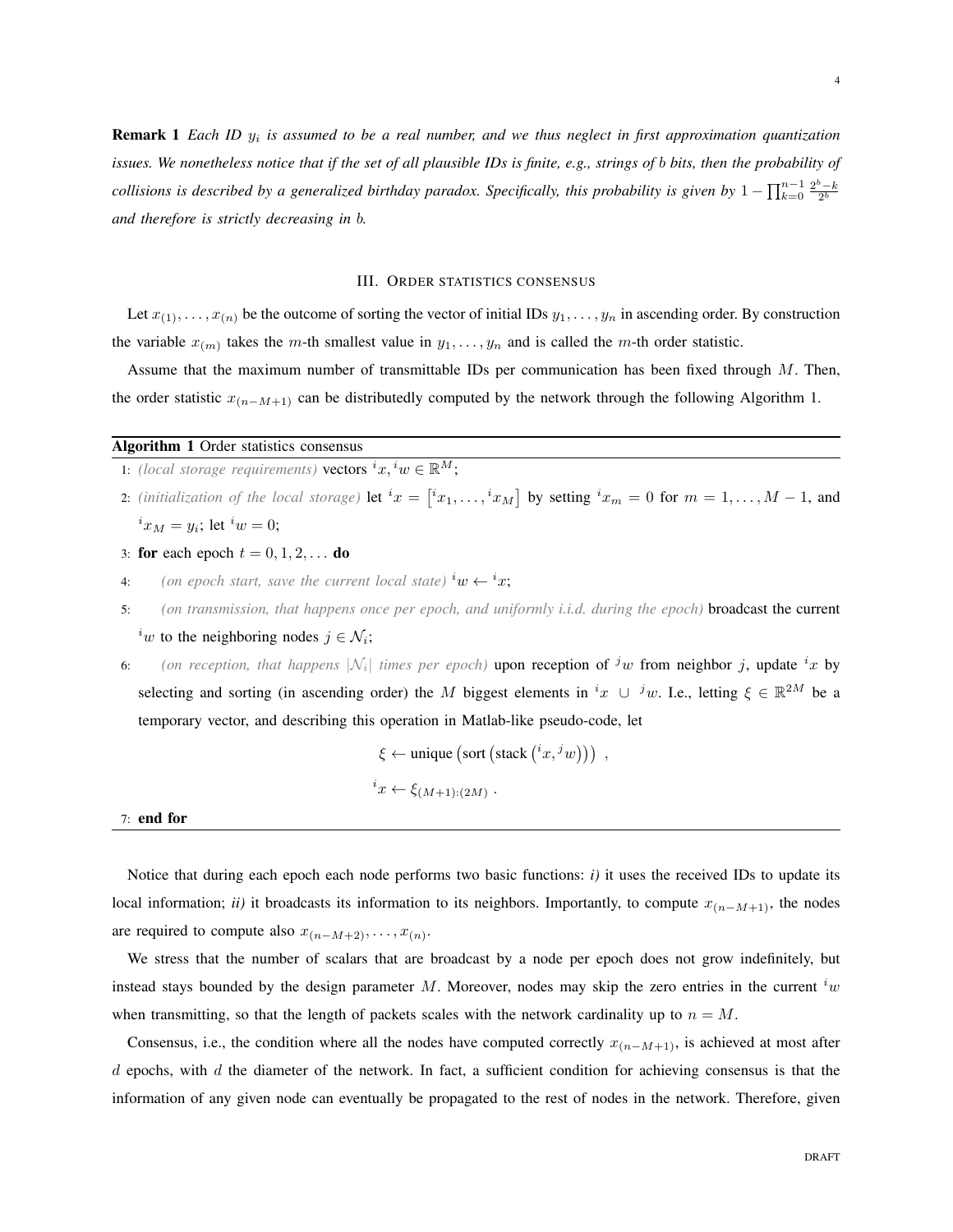Remark 1 *Each ID* y<sup>i</sup> *is assumed to be a real number, and we thus neglect in first approximation quantization issues. We nonetheless notice that if the set of all plausible IDs is finite, e.g., strings of* b *bits, then the probability of collisions is described by a generalized birthday paradox. Specifically, this probability is given by*  $1 - \prod_{k=0}^{n-1} \frac{2^b - k}{2^b}$ *and therefore is strictly decreasing in* b*.*

#### III. ORDER STATISTICS CONSENSUS

Let  $x_{(1)}, \ldots, x_{(n)}$  be the outcome of sorting the vector of initial IDs  $y_1, \ldots, y_n$  in ascending order. By construction the variable  $x_{(m)}$  takes the m-th smallest value in  $y_1, \ldots, y_n$  and is called the m-th order statistic.

Assume that the maximum number of transmittable IDs per communication has been fixed through M. Then, the order statistic  $x_{(n-M+1)}$  can be distributedly computed by the network through the following Algorithm 1.

# Algorithm 1 Order statistics consensus

- 1: *(local storage requirements)* vectors  ${}^{i}x, {}^{i}w \in \mathbb{R}^{M}$ ;
- 2: *(initialization of the local storage)* let  ${}^{i}x = [{}^{i}x_1, \ldots, {}^{i}x_M]$  by setting  ${}^{i}x_m = 0$  for  $m = 1, \ldots, M 1$ , and  ${}^{i}x_{M} = y_{i}$ ; let  ${}^{i}w = 0$ ;
- 3: for each epoch  $t = 0, 1, 2, \ldots$  do
- 4: *(on epoch start, save the current local state)*  $i_w \leftarrow i_x$ ;
- 5: *(on transmission, that happens once per epoch, and uniformly i.i.d. during the epoch)* broadcast the current  $i_w$  to the neighboring nodes  $j \in \mathcal{N}_i$ ;
- 6: *(on reception, that happens*  $|\mathcal{N}_i|$  *times per epoch)* upon reception of  $^j w$  from neighbor j, update  $^ix$  by selecting and sorting (in ascending order) the M biggest elements in  $i_x \cup j_w$ . I.e., letting  $\xi \in \mathbb{R}^{2M}$  be a temporary vector, and describing this operation in Matlab-like pseudo-code, let

$$
\xi \leftarrow \text{unique} \left( \text{sort} \left( \text{stack} \left( \overset{i}{x}, \overset{j}{w} \right) \right) \right) ,
$$
  

$$
^ix \leftarrow \xi_{(M+1):(2M)} .
$$

7: end for

Notice that during each epoch each node performs two basic functions: *i)* it uses the received IDs to update its local information; *ii*) it broadcasts its information to its neighbors. Importantly, to compute  $x_{(n-M+1)}$ , the nodes are required to compute also  $x_{(n-M+2)}, \ldots, x_{(n)}$ .

We stress that the number of scalars that are broadcast by a node per epoch does not grow indefinitely, but instead stays bounded by the design parameter M. Moreover, nodes may skip the zero entries in the current  $^iw$ when transmitting, so that the length of packets scales with the network cardinality up to  $n = M$ .

Consensus, i.e., the condition where all the nodes have computed correctly  $x_{(n-M+1)}$ , is achieved at most after  $d$  epochs, with  $d$  the diameter of the network. In fact, a sufficient condition for achieving consensus is that the information of any given node can eventually be propagated to the rest of nodes in the network. Therefore, given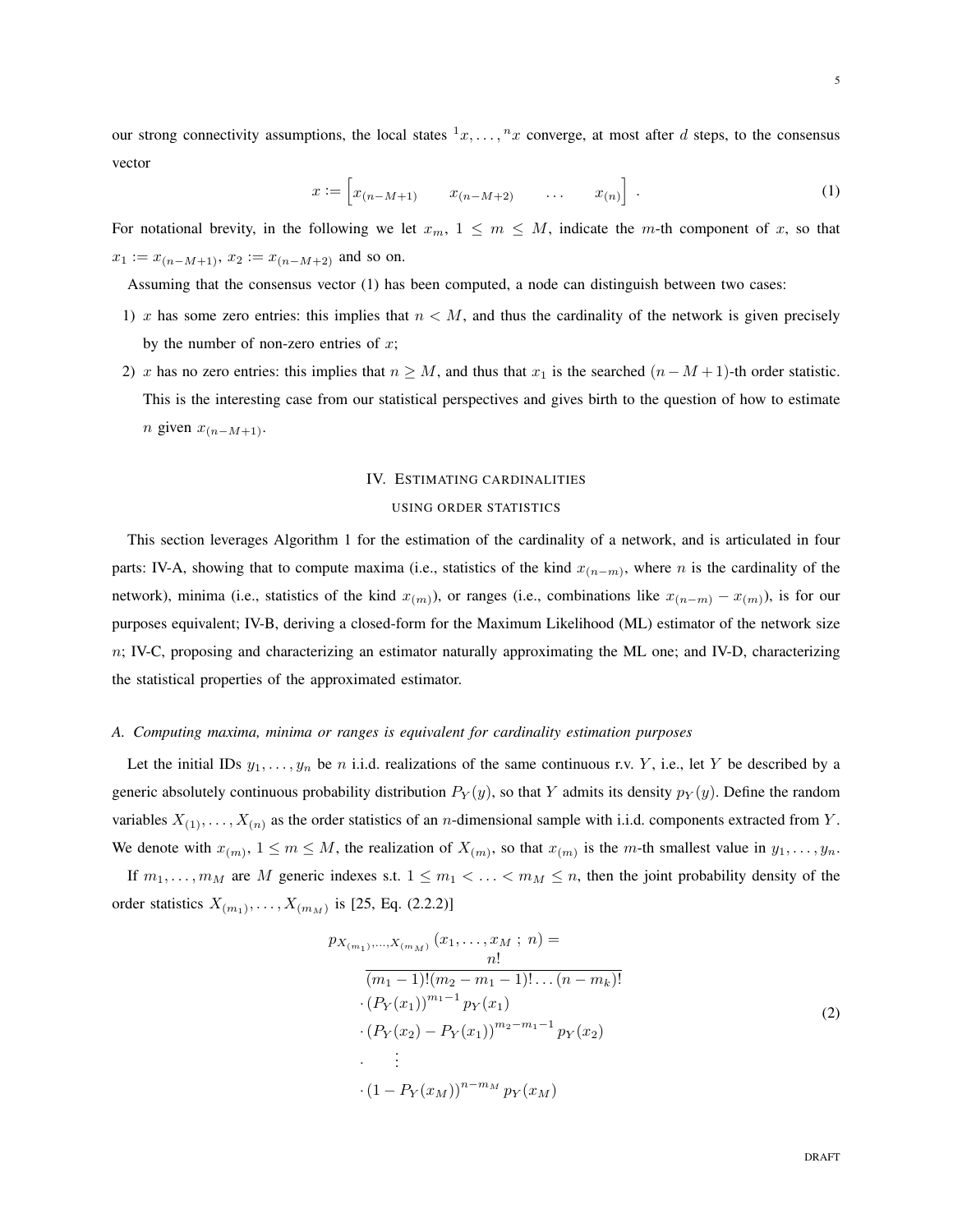$$
x := \begin{bmatrix} x_{(n-M+1)} & x_{(n-M+2)} & \dots & x_{(n)} \end{bmatrix} . \tag{1}
$$

For notational brevity, in the following we let  $x_m$ ,  $1 \leq m \leq M$ , indicate the m-th component of x, so that  $x_1 := x_{(n-M+1)}, x_2 := x_{(n-M+2)}$  and so on.

Assuming that the consensus vector (1) has been computed, a node can distinguish between two cases:

- 1) x has some zero entries: this implies that  $n < M$ , and thus the cardinality of the network is given precisely by the number of non-zero entries of  $x$ ;
- 2) x has no zero entries: this implies that  $n \geq M$ , and thus that  $x_1$  is the searched  $(n-M+1)$ -th order statistic. This is the interesting case from our statistical perspectives and gives birth to the question of how to estimate n given  $x_{(n-M+1)}$ .

#### IV. ESTIMATING CARDINALITIES

#### USING ORDER STATISTICS

This section leverages Algorithm 1 for the estimation of the cardinality of a network, and is articulated in four parts: IV-A, showing that to compute maxima (i.e., statistics of the kind  $x_{(n-m)}$ , where n is the cardinality of the network), minima (i.e., statistics of the kind  $x_{(m)}$ ), or ranges (i.e., combinations like  $x_{(n-m)} - x_{(m)}$ ), is for our purposes equivalent; IV-B, deriving a closed-form for the Maximum Likelihood (ML) estimator of the network size n; IV-C, proposing and characterizing an estimator naturally approximating the ML one; and IV-D, characterizing the statistical properties of the approximated estimator.

#### *A. Computing maxima, minima or ranges is equivalent for cardinality estimation purposes*

Let the initial IDs  $y_1, \ldots, y_n$  be n i.i.d. realizations of the same continuous r.v. Y, i.e., let Y be described by a generic absolutely continuous probability distribution  $P_Y(y)$ , so that Y admits its density  $p_Y(y)$ . Define the random variables  $X_{(1)}, \ldots, X_{(n)}$  as the order statistics of an *n*-dimensional sample with i.i.d. components extracted from Y. We denote with  $x_{(m)}$ ,  $1 \le m \le M$ , the realization of  $X_{(m)}$ , so that  $x_{(m)}$  is the m-th smallest value in  $y_1, \ldots, y_n$ .

If  $m_1, \ldots, m_M$  are M generic indexes s.t.  $1 \leq m_1 < \ldots < m_M \leq n$ , then the joint probability density of the order statistics  $X_{(m_1)}, \ldots, X_{(m_M)}$  is [25, Eq. (2.2.2)]

$$
p_{X_{(m_1)},...,X_{(m_M)}} (x_1,...,x_M ; n) =
$$
  
\n
$$
\frac{n!}{(m_1 - 1)!(m_2 - m_1 - 1)!\dots(n - m_k)!}
$$
  
\n
$$
\cdot (P_Y(x_1))^{m_1 - 1} p_Y(x_1)
$$
  
\n
$$
\cdot (P_Y(x_2) - P_Y(x_1))^{m_2 - m_1 - 1} p_Y(x_2)
$$
  
\n
$$
\vdots
$$
  
\n
$$
\cdot (1 - P_Y(x_M))^{n - m_M} p_Y(x_M)
$$
\n(2)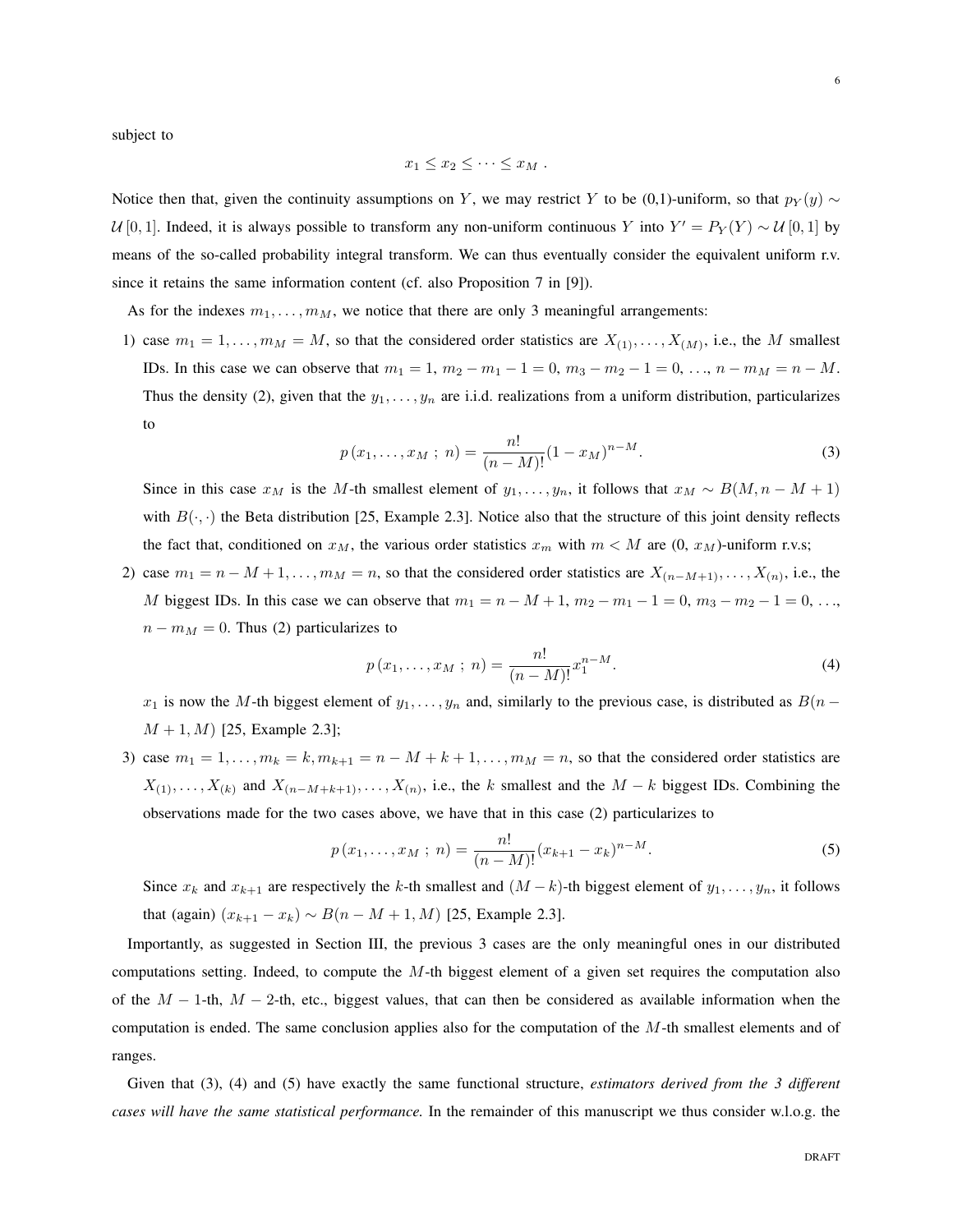subject to

$$
x_1 \leq x_2 \leq \cdots \leq x_M.
$$

Notice then that, given the continuity assumptions on Y, we may restrict Y to be (0,1)-uniform, so that  $p_Y(y) \sim$  $U[0,1]$ . Indeed, it is always possible to transform any non-uniform continuous Y into  $Y' = P_Y(Y) \sim U[0,1]$  by means of the so-called probability integral transform. We can thus eventually consider the equivalent uniform r.v. since it retains the same information content (cf. also Proposition 7 in [9]).

As for the indexes  $m_1, \ldots, m_M$ , we notice that there are only 3 meaningful arrangements:

1) case  $m_1 = 1, \ldots, m_M = M$ , so that the considered order statistics are  $X_{(1)}, \ldots, X_{(M)}$ , i.e., the M smallest IDs. In this case we can observe that  $m_1 = 1$ ,  $m_2 - m_1 - 1 = 0$ ,  $m_3 - m_2 - 1 = 0$ , ...,  $n - m_M = n - M$ . Thus the density (2), given that the  $y_1, \ldots, y_n$  are i.i.d. realizations from a uniform distribution, particularizes to

$$
p(x_1,...,x_M ; n) = \frac{n!}{(n-M)!} (1 - x_M)^{n-M}.
$$
 (3)

Since in this case  $x_M$  is the M-th smallest element of  $y_1, \ldots, y_n$ , it follows that  $x_M \sim B(M, n - M + 1)$ with  $B(\cdot, \cdot)$  the Beta distribution [25, Example 2.3]. Notice also that the structure of this joint density reflects the fact that, conditioned on  $x_M$ , the various order statistics  $x_m$  with  $m < M$  are  $(0, x_M)$ -uniform r.v.s;

2) case  $m_1 = n - M + 1, \ldots, m_M = n$ , so that the considered order statistics are  $X_{(n-M+1)}, \ldots, X_{(n)}$ , i.e., the M biggest IDs. In this case we can observe that  $m_1 = n - M + 1$ ,  $m_2 - m_1 - 1 = 0$ ,  $m_3 - m_2 - 1 = 0$ , ...  $n - m<sub>M</sub> = 0$ . Thus (2) particularizes to

$$
p(x_1, ..., x_M ; n) = \frac{n!}{(n-M)!} x_1^{n-M}.
$$
 (4)

 $x_1$  is now the M-th biggest element of  $y_1, \ldots, y_n$  and, similarly to the previous case, is distributed as  $B(n M + 1, M$ ) [25, Example 2.3];

3) case  $m_1 = 1, \ldots, m_k = k, m_{k+1} = n - M + k + 1, \ldots, m_M = n$ , so that the considered order statistics are  $X_{(1)},\ldots,X_{(k)}$  and  $X_{(n-M+k+1)},\ldots,X_{(n)}$ , i.e., the k smallest and the  $M-k$  biggest IDs. Combining the observations made for the two cases above, we have that in this case (2) particularizes to

$$
p(x_1,...,x_M; n) = \frac{n!}{(n-M)!} (x_{k+1} - x_k)^{n-M}.
$$
 (5)

Since  $x_k$  and  $x_{k+1}$  are respectively the k-th smallest and  $(M - k)$ -th biggest element of  $y_1, \ldots, y_n$ , it follows that (again)  $(x_{k+1} - x_k) \sim B(n - M + 1, M)$  [25, Example 2.3].

Importantly, as suggested in Section III, the previous 3 cases are the only meaningful ones in our distributed computations setting. Indeed, to compute the M-th biggest element of a given set requires the computation also of the  $M - 1$ -th,  $M - 2$ -th, etc., biggest values, that can then be considered as available information when the computation is ended. The same conclusion applies also for the computation of the  $M$ -th smallest elements and of ranges.

Given that (3), (4) and (5) have exactly the same functional structure, *estimators derived from the 3 different cases will have the same statistical performance.* In the remainder of this manuscript we thus consider w.l.o.g. the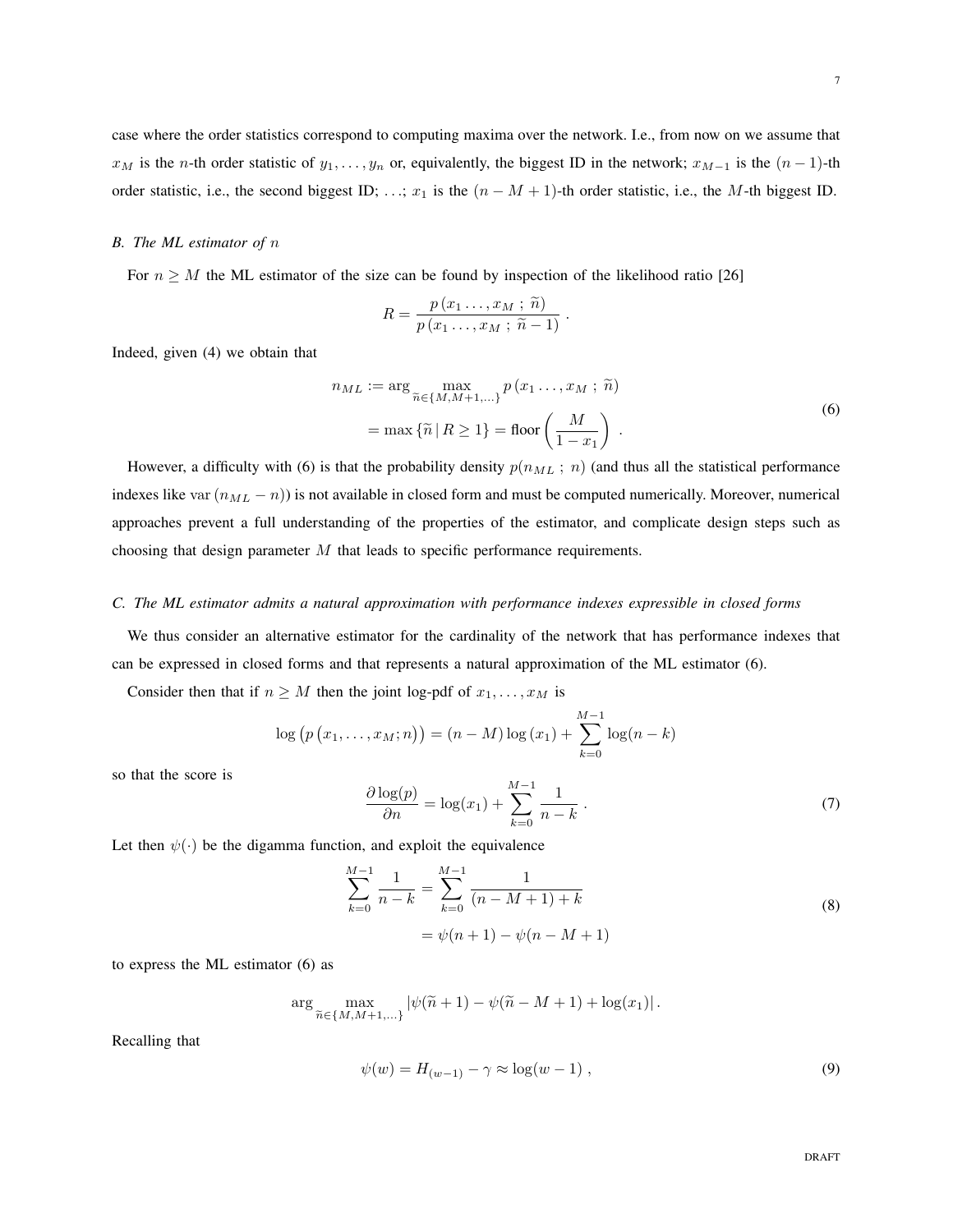case where the order statistics correspond to computing maxima over the network. I.e., from now on we assume that  $x_M$  is the n-th order statistic of  $y_1, \ldots, y_n$  or, equivalently, the biggest ID in the network;  $x_{M-1}$  is the  $(n-1)$ -th order statistic, i.e., the second biggest ID; ...;  $x_1$  is the  $(n - M + 1)$ -th order statistic, i.e., the M-th biggest ID.

## *B. The ML estimator of* n

For  $n \geq M$  the ML estimator of the size can be found by inspection of the likelihood ratio [26]

$$
R = \frac{p(x_1 \dots, x_M ; \tilde{n})}{p(x_1 \dots, x_M ; \tilde{n} - 1)}.
$$

Indeed, given (4) we obtain that

$$
n_{ML} := \arg\max_{\widetilde{n}\in\{M,M+1,\ldots\}} p(x_1\ldots,x_M;\widetilde{n})
$$

$$
= \max\{\widetilde{n} \mid R \ge 1\} = \text{floor}\left(\frac{M}{1-x_1}\right).
$$
(6)

However, a difficulty with (6) is that the probability density  $p(n_{ML}$ ; n) (and thus all the statistical performance indexes like var  $(n_{ML} - n)$ ) is not available in closed form and must be computed numerically. Moreover, numerical approaches prevent a full understanding of the properties of the estimator, and complicate design steps such as choosing that design parameter  $M$  that leads to specific performance requirements.

#### *C. The ML estimator admits a natural approximation with performance indexes expressible in closed forms*

We thus consider an alternative estimator for the cardinality of the network that has performance indexes that can be expressed in closed forms and that represents a natural approximation of the ML estimator (6).

Consider then that if  $n \geq M$  then the joint log-pdf of  $x_1, \ldots, x_M$  is

$$
\log (p (x_1, ..., x_M; n)) = (n - M) \log (x_1) + \sum_{k=0}^{M-1} \log (n - k)
$$

so that the score is

$$
\frac{\partial \log(p)}{\partial n} = \log(x_1) + \sum_{k=0}^{M-1} \frac{1}{n-k} \,. \tag{7}
$$

Let then  $\psi(\cdot)$  be the digamma function, and exploit the equivalence

$$
\sum_{k=0}^{M-1} \frac{1}{n-k} = \sum_{k=0}^{M-1} \frac{1}{(n-M+1)+k}
$$
  
=  $\psi(n+1) - \psi(n-M+1)$  (8)

to express the ML estimator (6) as

$$
\arg \max_{\widetilde{n} \in \{M, M+1, ...\}} |\psi(\widetilde{n} + 1) - \psi(\widetilde{n} - M + 1) + \log(x_1)|.
$$

Recalling that

$$
\psi(w) = H_{(w-1)} - \gamma \approx \log(w - 1) \tag{9}
$$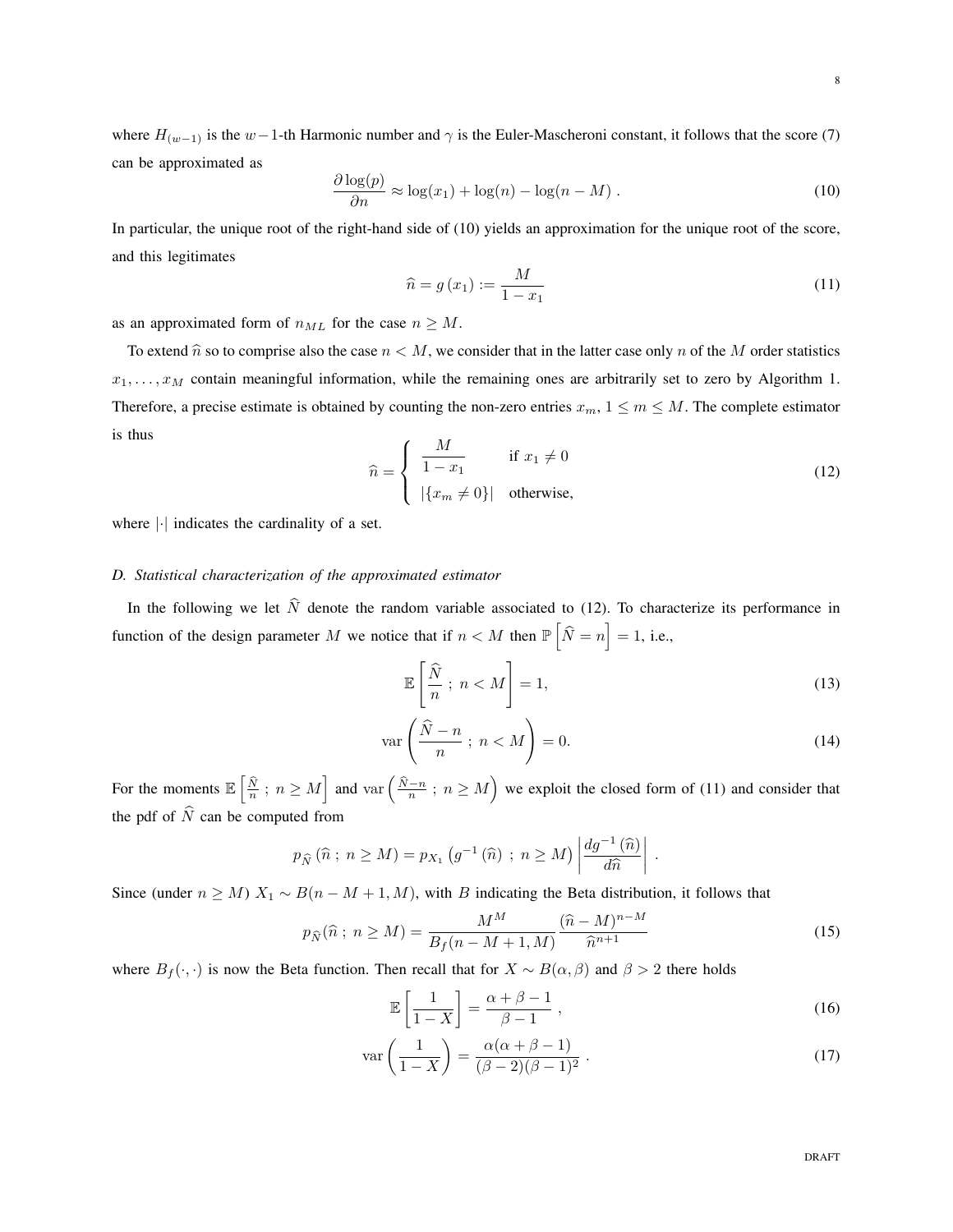8

where  $H_{(w-1)}$  is the w−1-th Harmonic number and  $\gamma$  is the Euler-Mascheroni constant, it follows that the score (7) can be approximated as

$$
\frac{\partial \log(p)}{\partial n} \approx \log(x_1) + \log(n) - \log(n - M) . \tag{10}
$$

In particular, the unique root of the right-hand side of (10) yields an approximation for the unique root of the score, and this legitimates

$$
\widehat{n} = g\left(x_1\right) := \frac{M}{1 - x_1} \tag{11}
$$

as an approximated form of  $n_{ML}$  for the case  $n \geq M$ .

To extend  $\hat{n}$  so to comprise also the case  $n < M$ , we consider that in the latter case only n of the M order statistics  $x_1, \ldots, x_M$  contain meaningful information, while the remaining ones are arbitrarily set to zero by Algorithm 1. Therefore, a precise estimate is obtained by counting the non-zero entries  $x_m$ ,  $1 \le m \le M$ . The complete estimator is thus

$$
\widehat{n} = \begin{cases}\n\frac{M}{1 - x_1} & \text{if } x_1 \neq 0 \\
|\{x_m \neq 0\}| & \text{otherwise,} \n\end{cases}
$$
\n(12)

where |·| indicates the cardinality of a set.

# *D. Statistical characterization of the approximated estimator*

In the following we let  $\hat{N}$  denote the random variable associated to (12). To characterize its performance in function of the design parameter M we notice that if  $n < M$  then  $\mathbb{P}\left[\widehat{N} = n\right] = 1$ , i.e.,

$$
\mathbb{E}\left[\frac{\hat{N}}{n} \; ; \; n < M\right] = 1,\tag{13}
$$

.

$$
\operatorname{var}\left(\frac{\widehat{N}-n}{n} \; ; \; n < M\right) = 0. \tag{14}
$$

For the moments  $\mathbb{E}\left[\frac{\hat{N}}{n}$ ;  $n \geq M\right]$  and var  $\left(\frac{\hat{N}-n}{n}$ ;  $n \geq M\right)$  we exploit the closed form of (11) and consider that the pdf of  $\hat{N}$  can be computed from

$$
p_{\widehat{N}}\left(\widehat{n}\; ;\; n \geq M\right) = p_{X_1}\left(g^{-1}\left(\widehat{n}\right)\; ;\; n \geq M\right) \left| \frac{d g^{-1}\left(\widehat{n}\right)}{d \widehat{n}}\right|
$$

Since (under  $n \ge M$ )  $X_1 \sim B(n-M+1,M)$ , with B indicating the Beta distribution, it follows that

$$
p_{\widehat{N}}(\widehat{n} \; ; \; n \ge M) = \frac{M^M}{B_f(n - M + 1, M)} \frac{(\widehat{n} - M)^{n - M}}{\widehat{n}^{n + 1}}
$$
(15)

where  $B_f(\cdot, \cdot)$  is now the Beta function. Then recall that for  $X \sim B(\alpha, \beta)$  and  $\beta > 2$  there holds

$$
\mathbb{E}\left[\frac{1}{1-X}\right] = \frac{\alpha+\beta-1}{\beta-1},\tag{16}
$$

$$
\operatorname{var}\left(\frac{1}{1-X}\right) = \frac{\alpha(\alpha+\beta-1)}{(\beta-2)(\beta-1)^2} \ . \tag{17}
$$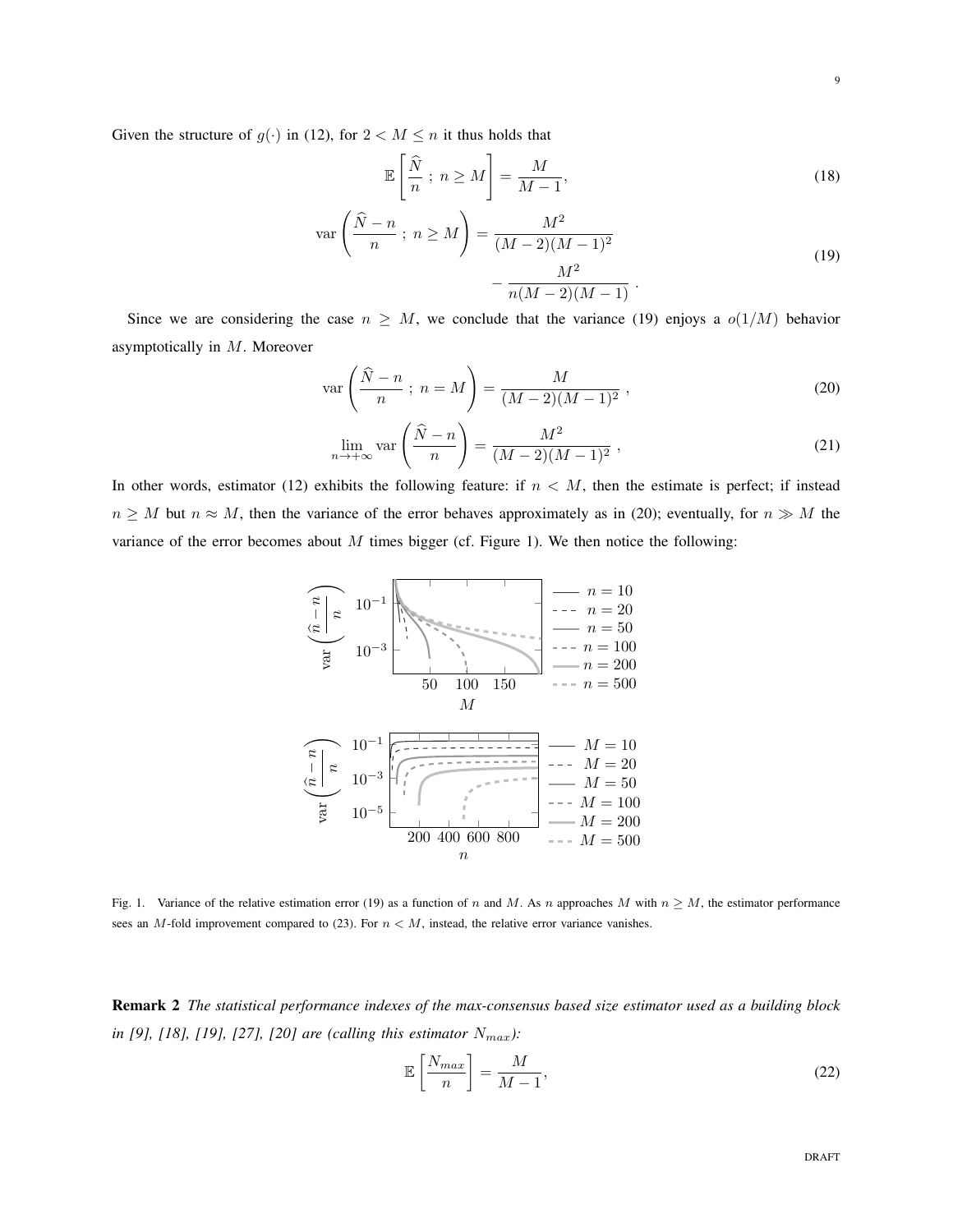Given the structure of  $g(\cdot)$  in (12), for  $2 < M \le n$  it thus holds that

$$
\mathbb{E}\left[\frac{\hat{N}}{n} \; ; \; n \ge M\right] = \frac{M}{M-1},\tag{18}
$$

$$
\operatorname{var}\left(\frac{\widehat{N}-n}{n} \; ; \; n \ge M\right) = \frac{M^2}{(M-2)(M-1)^2} - \frac{M^2}{n(M-2)(M-1)}.
$$
\n(19)

Since we are considering the case  $n \geq M$ , we conclude that the variance (19) enjoys a  $o(1/M)$  behavior asymptotically in M. Moreover

$$
\text{var}\left(\frac{\hat{N}-n}{n} \; ; \; n=M\right) = \frac{M}{(M-2)(M-1)^2} \; , \tag{20}
$$

$$
\lim_{n \to +\infty} \text{var}\left(\frac{\widehat{N}-n}{n}\right) = \frac{M^2}{(M-2)(M-1)^2},\tag{21}
$$

In other words, estimator (12) exhibits the following feature: if  $n < M$ , then the estimate is perfect; if instead  $n \geq M$  but  $n \approx M$ , then the variance of the error behaves approximately as in (20); eventually, for  $n \gg M$  the variance of the error becomes about  $M$  times bigger (cf. Figure 1). We then notice the following:



Fig. 1. Variance of the relative estimation error (19) as a function of n and M. As n approaches M with  $n \ge M$ , the estimator performance sees an M-fold improvement compared to (23). For  $n < M$ , instead, the relative error variance vanishes.

Remark 2 *The statistical performance indexes of the max-consensus based size estimator used as a building block in [9], [18], [19], [27], [20] are (calling this estimator*  $N_{max}$ ):

$$
\mathbb{E}\left[\frac{N_{max}}{n}\right] = \frac{M}{M-1},\tag{22}
$$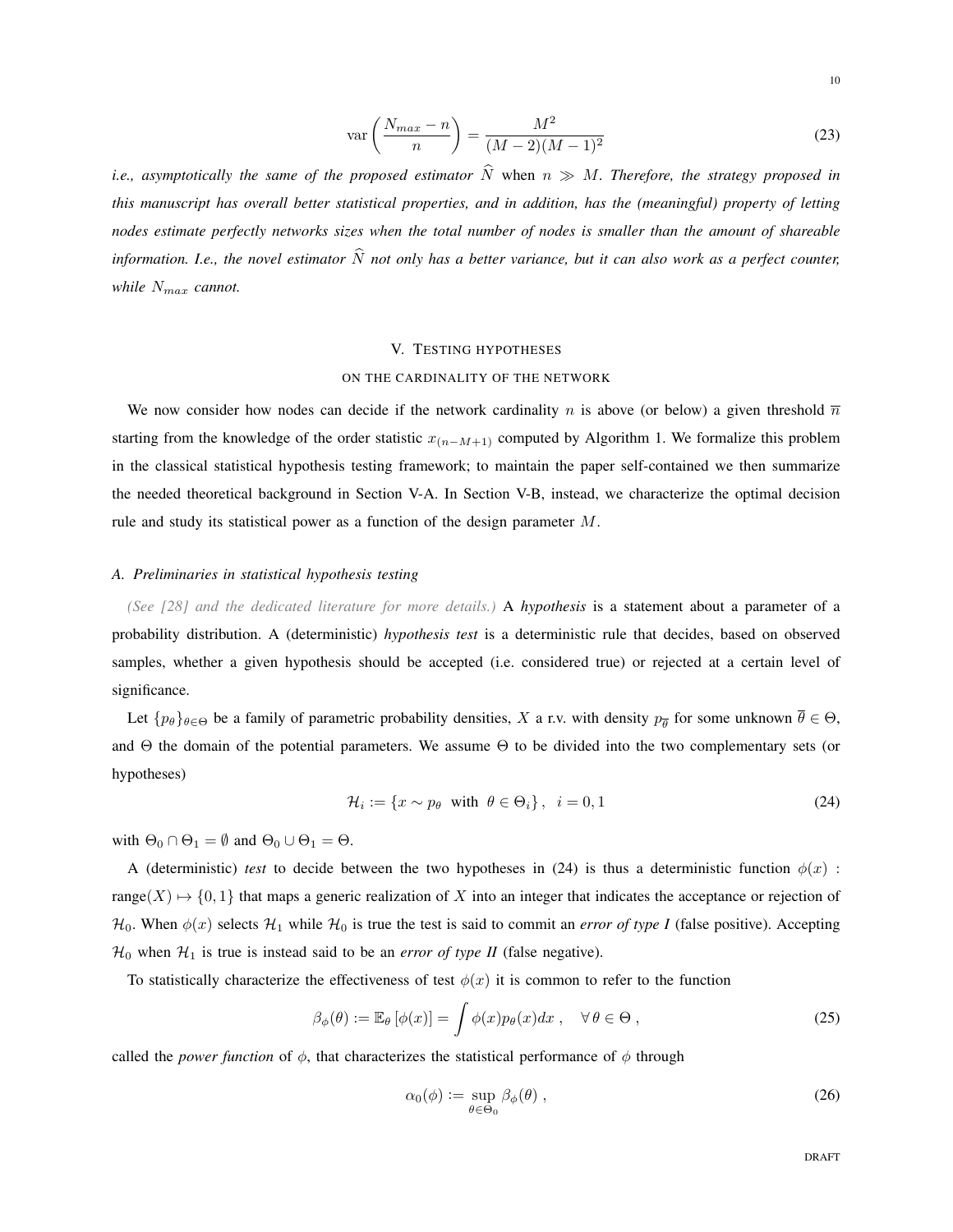$$
\text{var}\left(\frac{N_{max} - n}{n}\right) = \frac{M^2}{(M - 2)(M - 1)^2} \tag{23}
$$

*i.e., asymptotically the same of the proposed estimator*  $\widehat{N}$  when  $n \gg M$ . Therefore, the strategy proposed in *this manuscript has overall better statistical properties, and in addition, has the (meaningful) property of letting nodes estimate perfectly networks sizes when the total number of nodes is smaller than the amount of shareable information. I.e., the novel estimator*  $\widehat{N}$  *not only has a better variance, but it can also work as a perfect counter, while*  $N_{max}$  *cannot.* 

# V. TESTING HYPOTHESES

# ON THE CARDINALITY OF THE NETWORK

We now consider how nodes can decide if the network cardinality n is above (or below) a given threshold  $\overline{n}$ starting from the knowledge of the order statistic  $x_{(n-M+1)}$  computed by Algorithm 1. We formalize this problem in the classical statistical hypothesis testing framework; to maintain the paper self-contained we then summarize the needed theoretical background in Section V-A. In Section V-B, instead, we characterize the optimal decision rule and study its statistical power as a function of the design parameter M.

#### *A. Preliminaries in statistical hypothesis testing*

*(See [28] and the dedicated literature for more details.)* A *hypothesis* is a statement about a parameter of a probability distribution. A (deterministic) *hypothesis test* is a deterministic rule that decides, based on observed samples, whether a given hypothesis should be accepted (i.e. considered true) or rejected at a certain level of significance.

Let  $\{p_\theta\}_{\theta \in \Theta}$  be a family of parametric probability densities, X a r.v. with density  $p_{\overline{\theta}}$  for some unknown  $\theta \in \Theta$ , and Θ the domain of the potential parameters. We assume Θ to be divided into the two complementary sets (or hypotheses)

$$
\mathcal{H}_i := \{ x \sim p_\theta \text{ with } \theta \in \Theta_i \}, \quad i = 0, 1 \tag{24}
$$

with  $\Theta_0 \cap \Theta_1 = \emptyset$  and  $\Theta_0 \cup \Theta_1 = \Theta$ .

A (deterministic) *test* to decide between the two hypotheses in (24) is thus a deterministic function  $\phi(x)$ : range(X)  $\mapsto$  {0, 1} that maps a generic realization of X into an integer that indicates the acceptance or rejection of  $\mathcal{H}_0$ . When  $\phi(x)$  selects  $\mathcal{H}_1$  while  $\mathcal{H}_0$  is true the test is said to commit an *error of type I* (false positive). Accepting  $\mathcal{H}_0$  when  $\mathcal{H}_1$  is true is instead said to be an *error of type II* (false negative).

To statistically characterize the effectiveness of test  $\phi(x)$  it is common to refer to the function

$$
\beta_{\phi}(\theta) := \mathbb{E}_{\theta} \left[ \phi(x) \right] = \int \phi(x) p_{\theta}(x) dx , \quad \forall \theta \in \Theta , \tag{25}
$$

called the *power function* of  $\phi$ , that characterizes the statistical performance of  $\phi$  through

$$
\alpha_0(\phi) := \sup_{\theta \in \Theta_0} \beta_\phi(\theta) , \qquad (26)
$$

10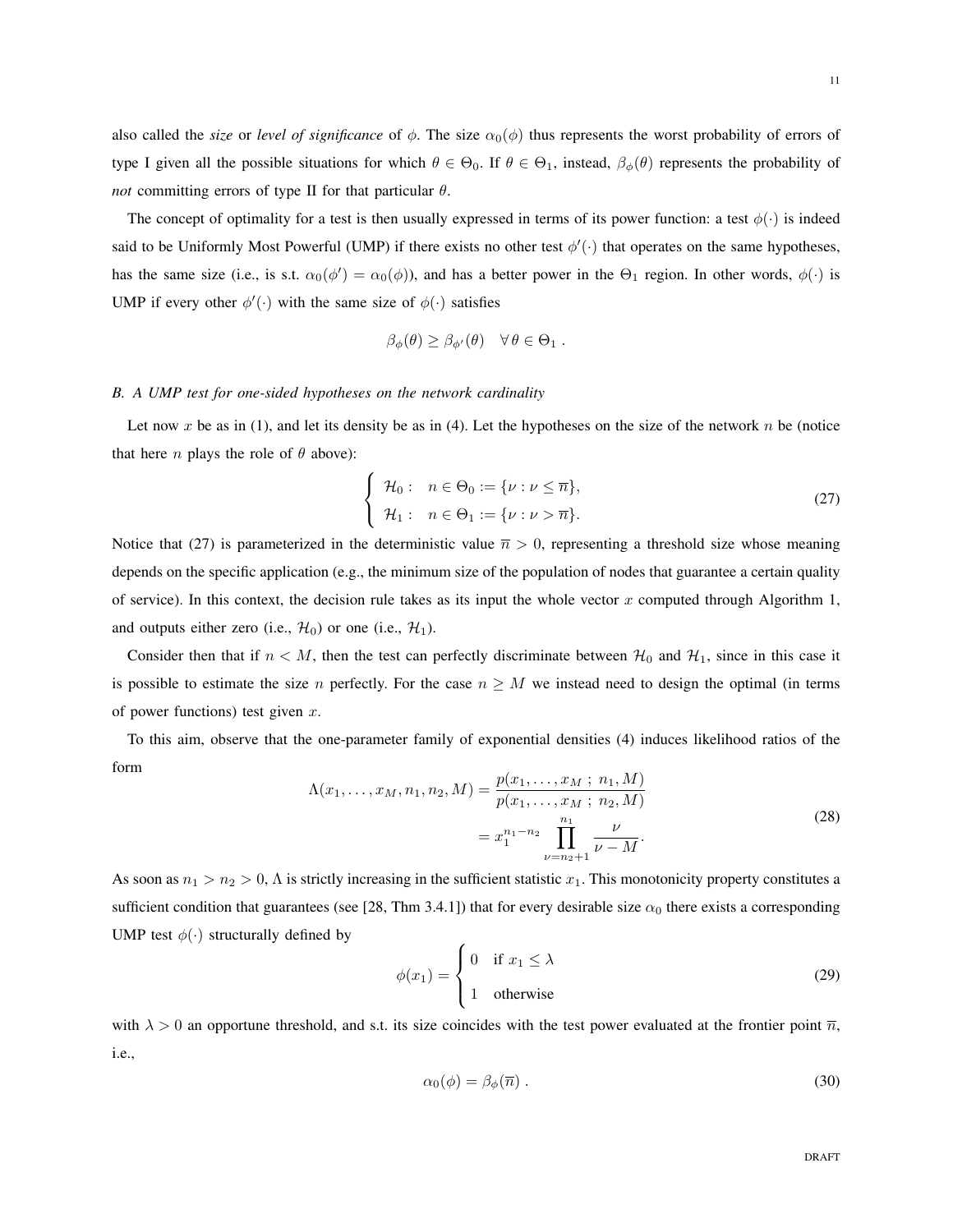The concept of optimality for a test is then usually expressed in terms of its power function: a test  $\phi(\cdot)$  is indeed said to be Uniformly Most Powerful (UMP) if there exists no other test  $\phi'(\cdot)$  that operates on the same hypotheses, has the same size (i.e., is s.t.  $\alpha_0(\phi') = \alpha_0(\phi)$ ), and has a better power in the  $\Theta_1$  region. In other words,  $\phi(\cdot)$  is UMP if every other  $\phi'(\cdot)$  with the same size of  $\phi(\cdot)$  satisfies

$$
\beta_{\phi}(\theta) \geq \beta_{\phi'}(\theta) \quad \forall \, \theta \in \Theta_1 \; .
$$

## *B. A UMP test for one-sided hypotheses on the network cardinality*

Let now x be as in (1), and let its density be as in (4). Let the hypotheses on the size of the network  $n$  be (notice that here *n* plays the role of  $\theta$  above):

$$
\begin{cases}\n\mathcal{H}_0: n \in \Theta_0 := \{\nu : \nu \leq \overline{n}\}, \\
\mathcal{H}_1: n \in \Theta_1 := \{\nu : \nu > \overline{n}\}.\n\end{cases}
$$
\n(27)

Notice that (27) is parameterized in the deterministic value  $\bar{n} > 0$ , representing a threshold size whose meaning depends on the specific application (e.g., the minimum size of the population of nodes that guarantee a certain quality of service). In this context, the decision rule takes as its input the whole vector x computed through Algorithm 1, and outputs either zero (i.e.,  $\mathcal{H}_0$ ) or one (i.e.,  $\mathcal{H}_1$ ).

Consider then that if  $n < M$ , then the test can perfectly discriminate between  $\mathcal{H}_0$  and  $\mathcal{H}_1$ , since in this case it is possible to estimate the size n perfectly. For the case  $n \geq M$  we instead need to design the optimal (in terms of power functions) test given  $x$ .

To this aim, observe that the one-parameter family of exponential densities (4) induces likelihood ratios of the form

$$
\Lambda(x_1, \dots, x_M, n_1, n_2, M) = \frac{p(x_1, \dots, x_M; n_1, M)}{p(x_1, \dots, x_M; n_2, M)}
$$
  
=  $x_1^{n_1 - n_2} \prod_{\nu = n_2 + 1}^{n_1} \frac{\nu}{\nu - M}.$  (28)

As soon as  $n_1 > n_2 > 0$ ,  $\Lambda$  is strictly increasing in the sufficient statistic  $x_1$ . This monotonicity property constitutes a sufficient condition that guarantees (see [28, Thm 3.4.1]) that for every desirable size  $\alpha_0$  there exists a corresponding UMP test  $\phi(\cdot)$  structurally defined by

$$
\phi(x_1) = \begin{cases} 0 & \text{if } x_1 \le \lambda \\ 1 & \text{otherwise} \end{cases}
$$
 (29)

with  $\lambda > 0$  an opportune threshold, and s.t. its size coincides with the test power evaluated at the frontier point  $\overline{n}$ , i.e.,

$$
\alpha_0(\phi) = \beta_\phi(\overline{n}) \tag{30}
$$

11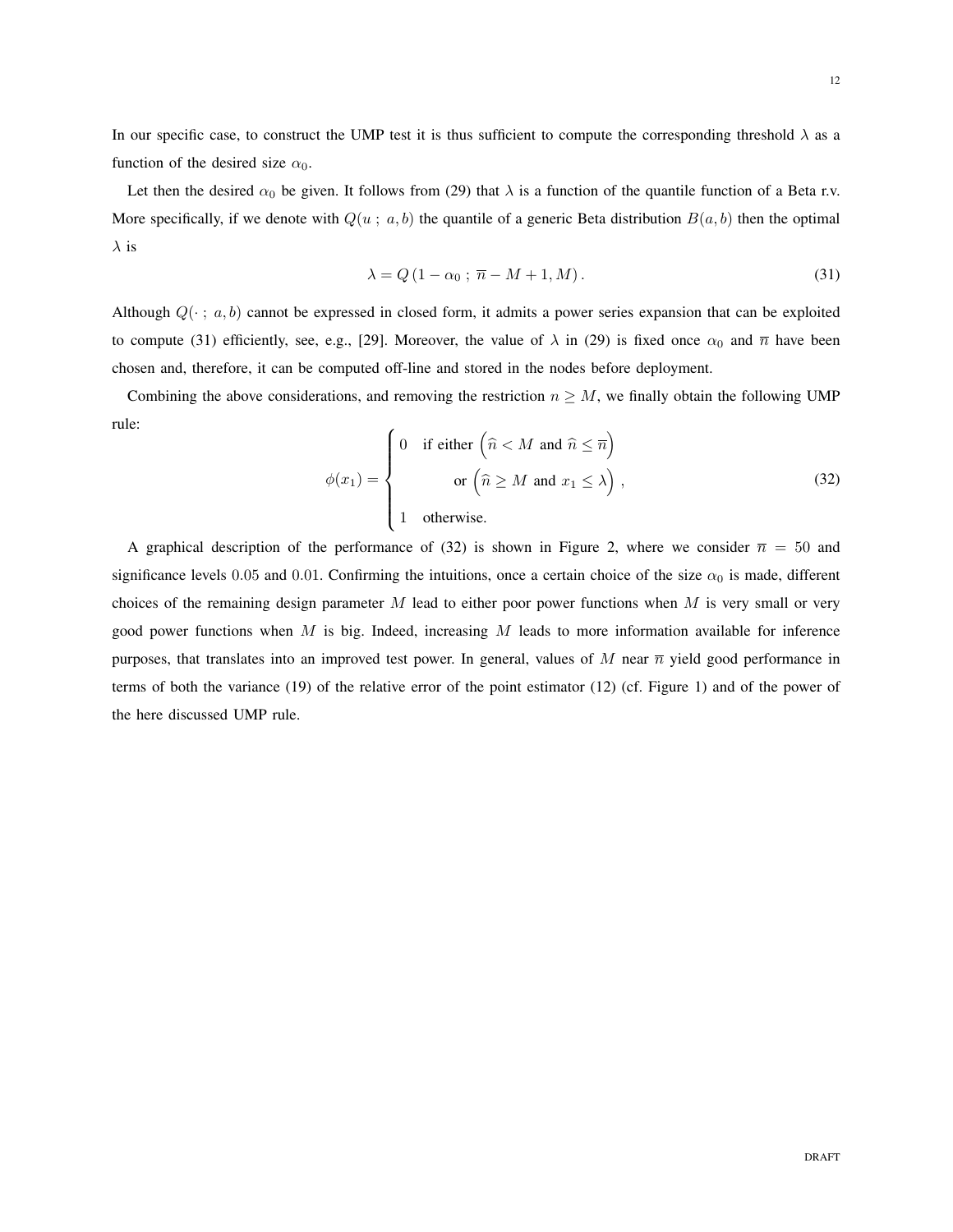12

In our specific case, to construct the UMP test it is thus sufficient to compute the corresponding threshold  $\lambda$  as a function of the desired size  $\alpha_0$ .

Let then the desired  $\alpha_0$  be given. It follows from (29) that  $\lambda$  is a function of the quantile function of a Beta r.v. More specifically, if we denote with  $Q(u; a, b)$  the quantile of a generic Beta distribution  $B(a, b)$  then the optimal  $\lambda$  is

$$
\lambda = Q\left(1 - \alpha_0; \overline{n} - M + 1, M\right). \tag{31}
$$

Although  $Q(\cdot; a, b)$  cannot be expressed in closed form, it admits a power series expansion that can be exploited to compute (31) efficiently, see, e.g., [29]. Moreover, the value of  $\lambda$  in (29) is fixed once  $\alpha_0$  and  $\overline{n}$  have been chosen and, therefore, it can be computed off-line and stored in the nodes before deployment.

Combining the above considerations, and removing the restriction  $n \geq M$ , we finally obtain the following UMP rule:

$$
\phi(x_1) = \begin{cases}\n0 & \text{if either } \left(\hat{n} < M \text{ and } \hat{n} \leq \overline{n}\right) \\
& \text{or } \left(\hat{n} \geq M \text{ and } x_1 \leq \lambda\right), \\
1 & \text{otherwise.} \n\end{cases}
$$
\n(32)

A graphical description of the performance of (32) is shown in Figure 2, where we consider  $\bar{n} = 50$  and significance levels 0.05 and 0.01. Confirming the intuitions, once a certain choice of the size  $\alpha_0$  is made, different choices of the remaining design parameter  $M$  lead to either poor power functions when  $M$  is very small or very good power functions when  $M$  is big. Indeed, increasing  $M$  leads to more information available for inference purposes, that translates into an improved test power. In general, values of M near  $\bar{n}$  yield good performance in terms of both the variance (19) of the relative error of the point estimator (12) (cf. Figure 1) and of the power of the here discussed UMP rule.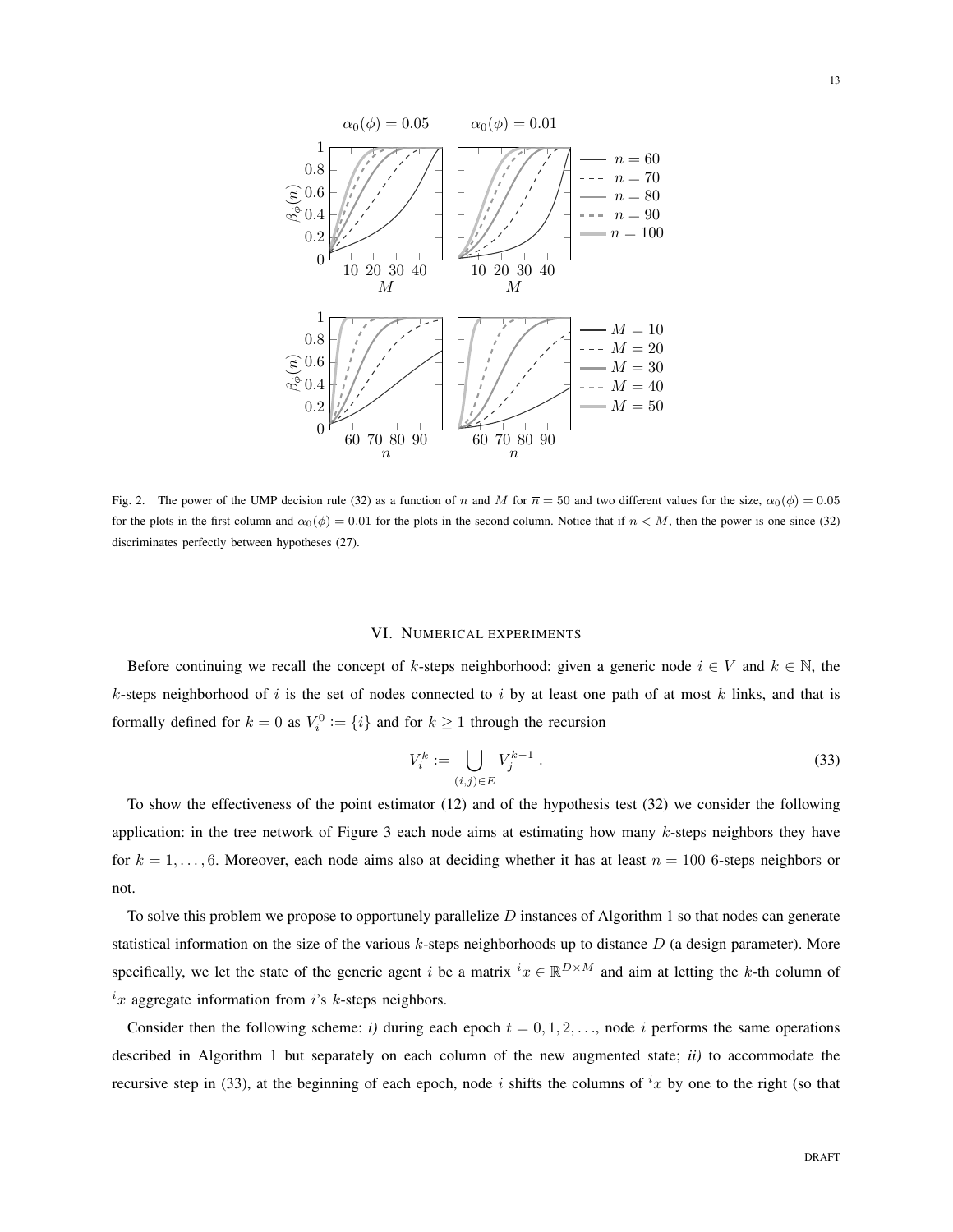

Fig. 2. The power of the UMP decision rule (32) as a function of n and M for  $\overline{n} = 50$  and two different values for the size,  $\alpha_0(\phi) = 0.05$ for the plots in the first column and  $\alpha_0(\phi) = 0.01$  for the plots in the second column. Notice that if  $n < M$ , then the power is one since (32) discriminates perfectly between hypotheses (27).

# VI. NUMERICAL EXPERIMENTS

Before continuing we recall the concept of k-steps neighborhood: given a generic node  $i \in V$  and  $k \in \mathbb{N}$ , the k-steps neighborhood of i is the set of nodes connected to i by at least one path of at most k links, and that is formally defined for  $k = 0$  as  $V_i^0 := \{i\}$  and for  $k \ge 1$  through the recursion

$$
V_i^k := \bigcup_{(i,j)\in E} V_j^{k-1} \tag{33}
$$

To show the effectiveness of the point estimator (12) and of the hypothesis test (32) we consider the following application: in the tree network of Figure 3 each node aims at estimating how many k-steps neighbors they have for  $k = 1, \ldots, 6$ . Moreover, each node aims also at deciding whether it has at least  $\overline{n} = 100$  6-steps neighbors or not.

To solve this problem we propose to opportunely parallelize  $D$  instances of Algorithm 1 so that nodes can generate statistical information on the size of the various  $k$ -steps neighborhoods up to distance  $D$  (a design parameter). More specifically, we let the state of the generic agent i be a matrix  ${}^{i}x \in \mathbb{R}^{D \times M}$  and aim at letting the k-th column of  $i_x$  aggregate information from i's k-steps neighbors.

Consider then the following scheme: *i*) during each epoch  $t = 0, 1, 2, \ldots$ , node *i* performs the same operations described in Algorithm 1 but separately on each column of the new augmented state; *ii)* to accommodate the recursive step in (33), at the beginning of each epoch, node i shifts the columns of  $i<sub>x</sub>$  by one to the right (so that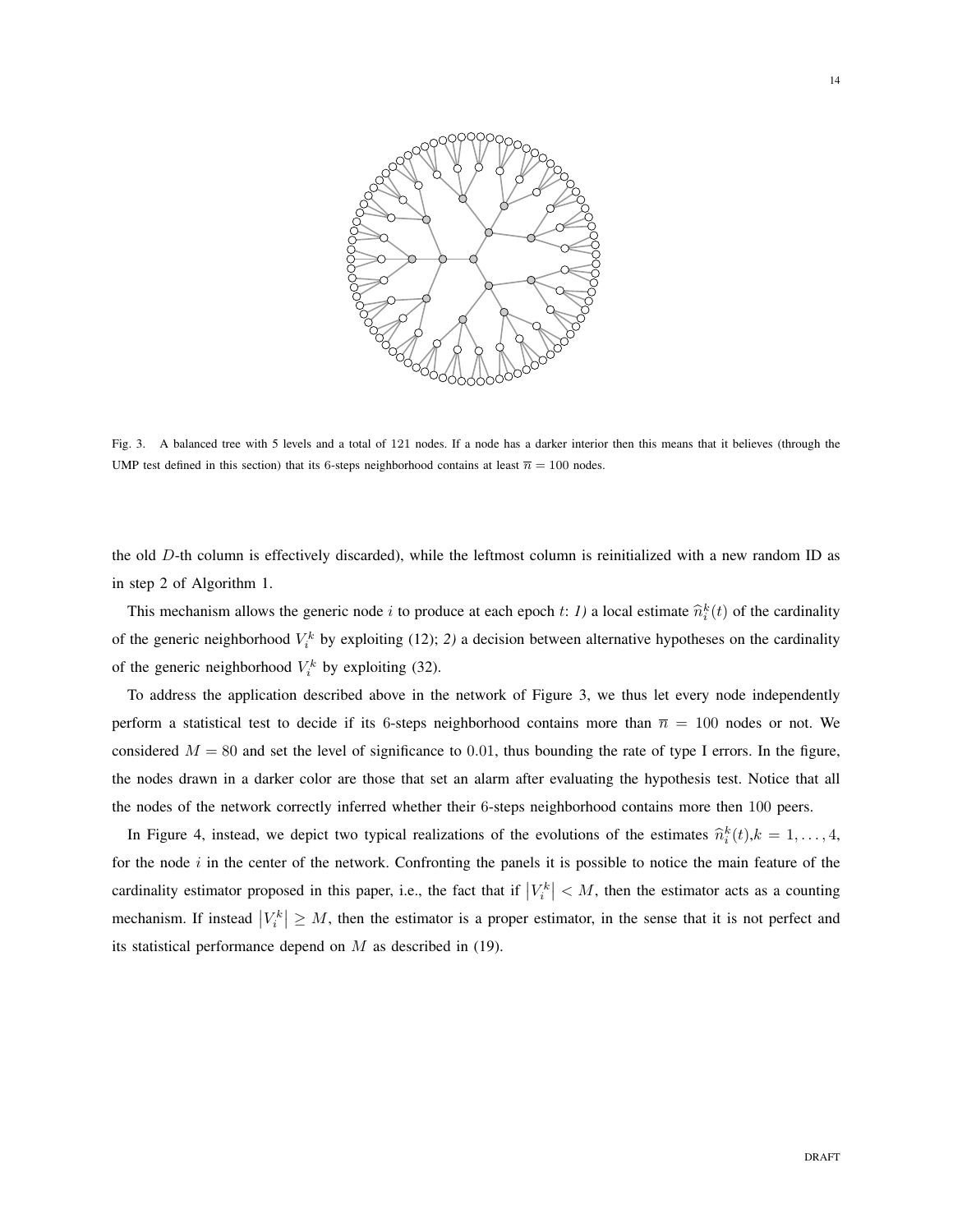

Fig. 3. A balanced tree with 5 levels and a total of 121 nodes. If a node has a darker interior then this means that it believes (through the UMP test defined in this section) that its 6-steps neighborhood contains at least  $\overline{n} = 100$  nodes.

the old  $D$ -th column is effectively discarded), while the leftmost column is reinitialized with a new random ID as in step 2 of Algorithm 1.

This mechanism allows the generic node *i* to produce at each epoch *t*: *1*) a local estimate  $\hat{n}_i^k(t)$  of the cardinality of the generic neighborhood  $V_i^k$  by exploiting (12); 2) a decision between alternative hypotheses on the cardinality of the generic neighborhood  $V_i^k$  by exploiting (32).

To address the application described above in the network of Figure 3, we thus let every node independently perform a statistical test to decide if its 6-steps neighborhood contains more than  $\overline{n} = 100$  nodes or not. We considered  $M = 80$  and set the level of significance to 0.01, thus bounding the rate of type I errors. In the figure, the nodes drawn in a darker color are those that set an alarm after evaluating the hypothesis test. Notice that all the nodes of the network correctly inferred whether their 6-steps neighborhood contains more then 100 peers.

In Figure 4, instead, we depict two typical realizations of the evolutions of the estimates  $\hat{n}_i^k(t)$ ,  $k = 1, \ldots, 4$ , for the node  $i$  in the center of the network. Confronting the panels it is possible to notice the main feature of the cardinality estimator proposed in this paper, i.e., the fact that if  $|V_i^k| < M$ , then the estimator acts as a counting mechanism. If instead  $|V_i^k| \geq M$ , then the estimator is a proper estimator, in the sense that it is not perfect and its statistical performance depend on  $M$  as described in (19).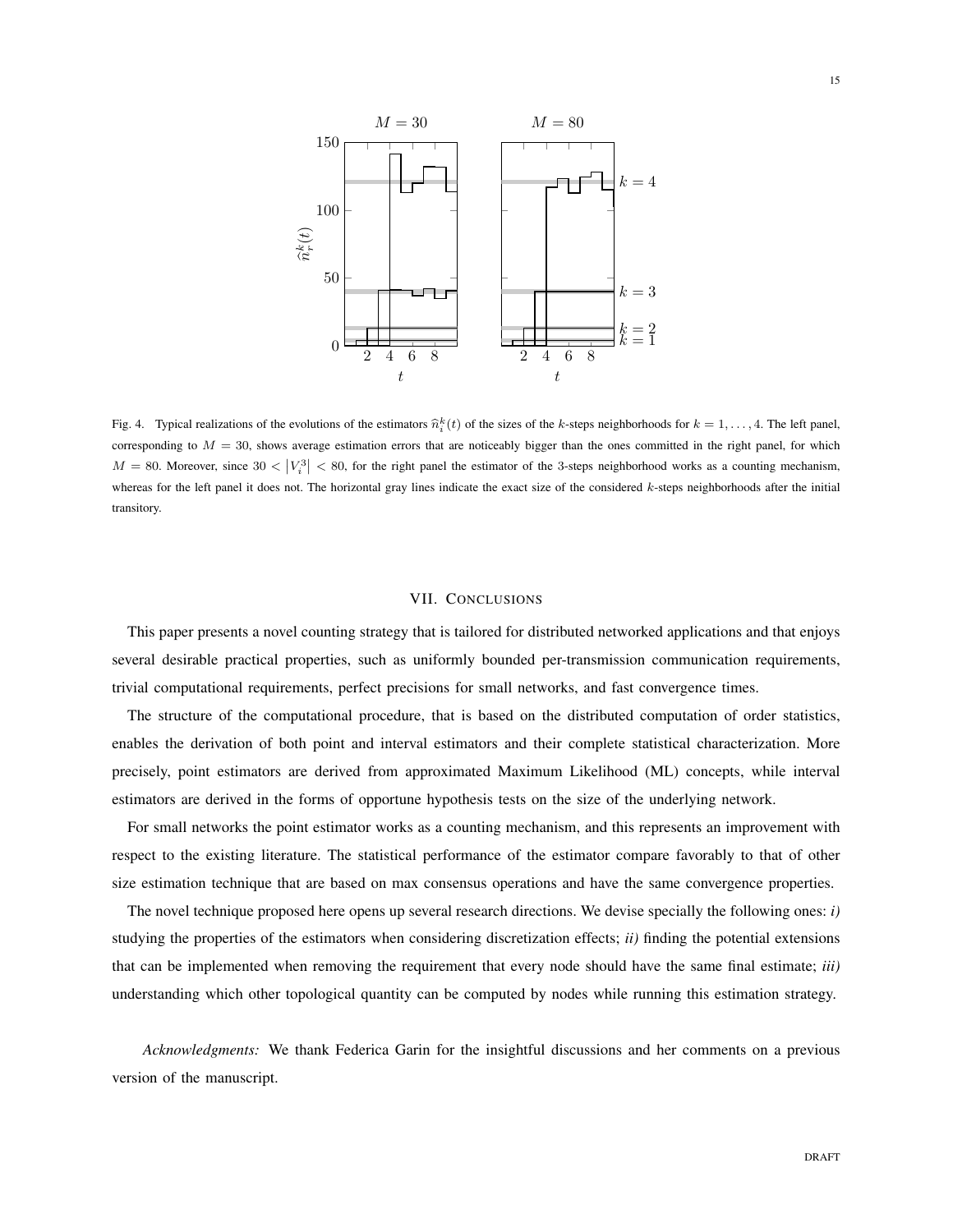

Fig. 4. Typical realizations of the evolutions of the estimators  $\hat{n}_i^k(t)$  of the sizes of the k-steps neighborhoods for  $k = 1, ..., 4$ . The left panel, corresponding to  $M = 30$ , shows average estimation errors that are noticeably bigger than the ones committed in the right panel, for which  $M = 80$ . Moreover, since  $30 < |V_i^3| < 80$ , for the right panel the estimator of the 3-steps neighborhood works as a counting mechanism, whereas for the left panel it does not. The horizontal gray lines indicate the exact size of the considered k-steps neighborhoods after the initial transitory.

## VII. CONCLUSIONS

This paper presents a novel counting strategy that is tailored for distributed networked applications and that enjoys several desirable practical properties, such as uniformly bounded per-transmission communication requirements, trivial computational requirements, perfect precisions for small networks, and fast convergence times.

The structure of the computational procedure, that is based on the distributed computation of order statistics, enables the derivation of both point and interval estimators and their complete statistical characterization. More precisely, point estimators are derived from approximated Maximum Likelihood (ML) concepts, while interval estimators are derived in the forms of opportune hypothesis tests on the size of the underlying network.

For small networks the point estimator works as a counting mechanism, and this represents an improvement with respect to the existing literature. The statistical performance of the estimator compare favorably to that of other size estimation technique that are based on max consensus operations and have the same convergence properties.

The novel technique proposed here opens up several research directions. We devise specially the following ones: *i)* studying the properties of the estimators when considering discretization effects; *ii)* finding the potential extensions that can be implemented when removing the requirement that every node should have the same final estimate; *iii)* understanding which other topological quantity can be computed by nodes while running this estimation strategy.

*Acknowledgments:* We thank Federica Garin for the insightful discussions and her comments on a previous version of the manuscript.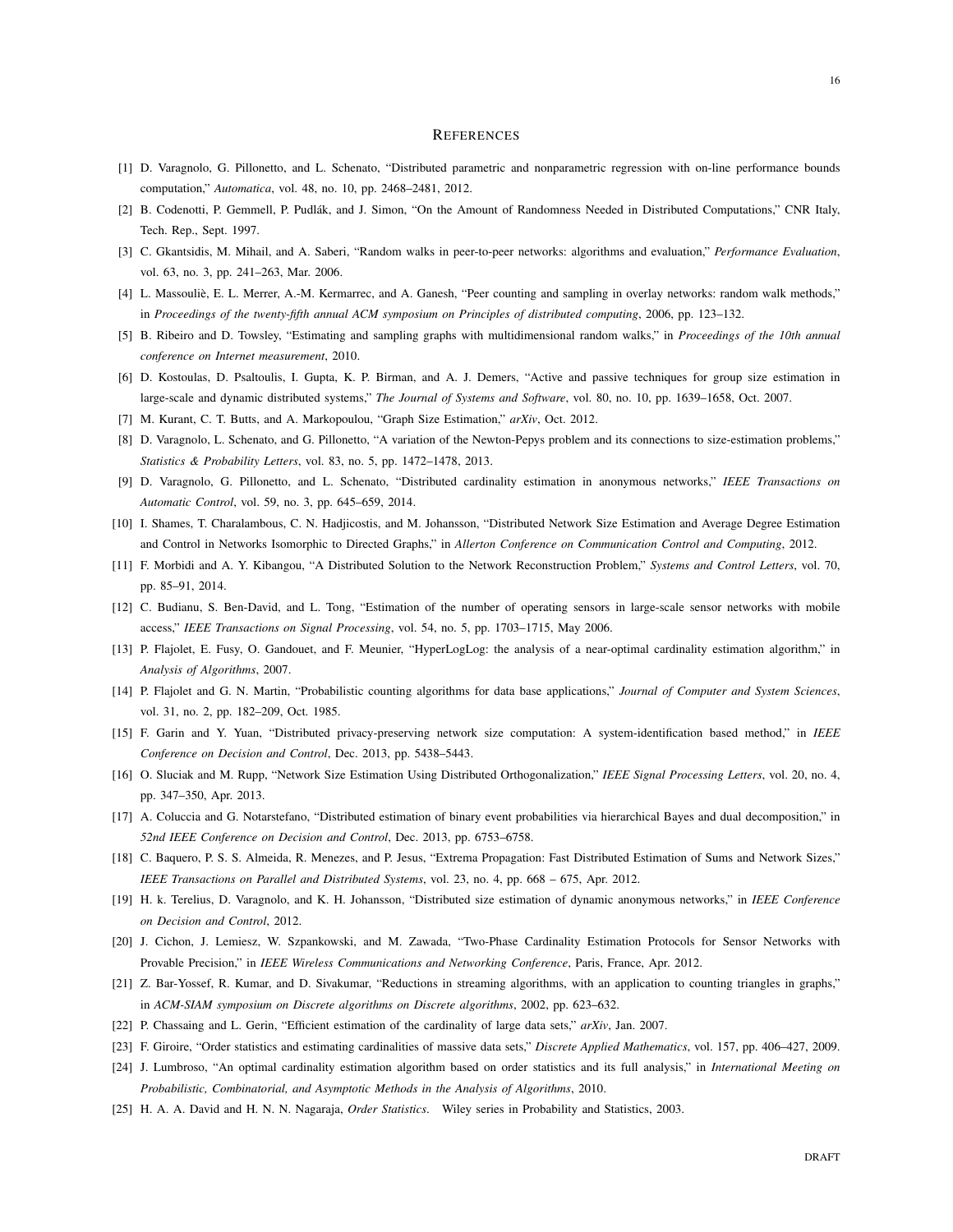#### **REFERENCES**

- [1] D. Varagnolo, G. Pillonetto, and L. Schenato, "Distributed parametric and nonparametric regression with on-line performance bounds computation," *Automatica*, vol. 48, no. 10, pp. 2468–2481, 2012.
- [2] B. Codenotti, P. Gemmell, P. Pudlák, and J. Simon, "On the Amount of Randomness Needed in Distributed Computations," CNR Italy, Tech. Rep., Sept. 1997.
- [3] C. Gkantsidis, M. Mihail, and A. Saberi, "Random walks in peer-to-peer networks: algorithms and evaluation," *Performance Evaluation*, vol. 63, no. 3, pp. 241–263, Mar. 2006.
- [4] L. Massouliè, E. L. Merrer, A.-M. Kermarrec, and A. Ganesh, "Peer counting and sampling in overlay networks: random walk methods," in *Proceedings of the twenty-fifth annual ACM symposium on Principles of distributed computing*, 2006, pp. 123–132.
- [5] B. Ribeiro and D. Towsley, "Estimating and sampling graphs with multidimensional random walks," in *Proceedings of the 10th annual conference on Internet measurement*, 2010.
- [6] D. Kostoulas, D. Psaltoulis, I. Gupta, K. P. Birman, and A. J. Demers, "Active and passive techniques for group size estimation in large-scale and dynamic distributed systems," *The Journal of Systems and Software*, vol. 80, no. 10, pp. 1639–1658, Oct. 2007.
- [7] M. Kurant, C. T. Butts, and A. Markopoulou, "Graph Size Estimation," *arXiv*, Oct. 2012.
- [8] D. Varagnolo, L. Schenato, and G. Pillonetto, "A variation of the Newton-Pepys problem and its connections to size-estimation problems," *Statistics & Probability Letters*, vol. 83, no. 5, pp. 1472–1478, 2013.
- [9] D. Varagnolo, G. Pillonetto, and L. Schenato, "Distributed cardinality estimation in anonymous networks," *IEEE Transactions on Automatic Control*, vol. 59, no. 3, pp. 645–659, 2014.
- [10] I. Shames, T. Charalambous, C. N. Hadjicostis, and M. Johansson, "Distributed Network Size Estimation and Average Degree Estimation and Control in Networks Isomorphic to Directed Graphs," in *Allerton Conference on Communication Control and Computing*, 2012.
- [11] F. Morbidi and A. Y. Kibangou, "A Distributed Solution to the Network Reconstruction Problem," *Systems and Control Letters*, vol. 70, pp. 85–91, 2014.
- [12] C. Budianu, S. Ben-David, and L. Tong, "Estimation of the number of operating sensors in large-scale sensor networks with mobile access," *IEEE Transactions on Signal Processing*, vol. 54, no. 5, pp. 1703–1715, May 2006.
- [13] P. Flajolet, E. Fusy, O. Gandouet, and F. Meunier, "HyperLogLog: the analysis of a near-optimal cardinality estimation algorithm," in *Analysis of Algorithms*, 2007.
- [14] P. Flajolet and G. N. Martin, "Probabilistic counting algorithms for data base applications," *Journal of Computer and System Sciences*, vol. 31, no. 2, pp. 182–209, Oct. 1985.
- [15] F. Garin and Y. Yuan, "Distributed privacy-preserving network size computation: A system-identification based method," in *IEEE Conference on Decision and Control*, Dec. 2013, pp. 5438–5443.
- [16] O. Sluciak and M. Rupp, "Network Size Estimation Using Distributed Orthogonalization," *IEEE Signal Processing Letters*, vol. 20, no. 4, pp. 347–350, Apr. 2013.
- [17] A. Coluccia and G. Notarstefano, "Distributed estimation of binary event probabilities via hierarchical Bayes and dual decomposition," in *52nd IEEE Conference on Decision and Control*, Dec. 2013, pp. 6753–6758.
- [18] C. Baquero, P. S. S. Almeida, R. Menezes, and P. Jesus, "Extrema Propagation: Fast Distributed Estimation of Sums and Network Sizes," *IEEE Transactions on Parallel and Distributed Systems*, vol. 23, no. 4, pp. 668 – 675, Apr. 2012.
- [19] H. k. Terelius, D. Varagnolo, and K. H. Johansson, "Distributed size estimation of dynamic anonymous networks," in *IEEE Conference on Decision and Control*, 2012.
- [20] J. Cichon, J. Lemiesz, W. Szpankowski, and M. Zawada, "Two-Phase Cardinality Estimation Protocols for Sensor Networks with Provable Precision," in *IEEE Wireless Communications and Networking Conference*, Paris, France, Apr. 2012.
- [21] Z. Bar-Yossef, R. Kumar, and D. Sivakumar, "Reductions in streaming algorithms, with an application to counting triangles in graphs," in *ACM-SIAM symposium on Discrete algorithms on Discrete algorithms*, 2002, pp. 623–632.
- [22] P. Chassaing and L. Gerin, "Efficient estimation of the cardinality of large data sets," *arXiv*, Jan. 2007.
- [23] F. Giroire, "Order statistics and estimating cardinalities of massive data sets," *Discrete Applied Mathematics*, vol. 157, pp. 406–427, 2009.
- [24] J. Lumbroso, "An optimal cardinality estimation algorithm based on order statistics and its full analysis," in *International Meeting on Probabilistic, Combinatorial, and Asymptotic Methods in the Analysis of Algorithms*, 2010.
- [25] H. A. A. David and H. N. N. Nagaraja, *Order Statistics*. Wiley series in Probability and Statistics, 2003.